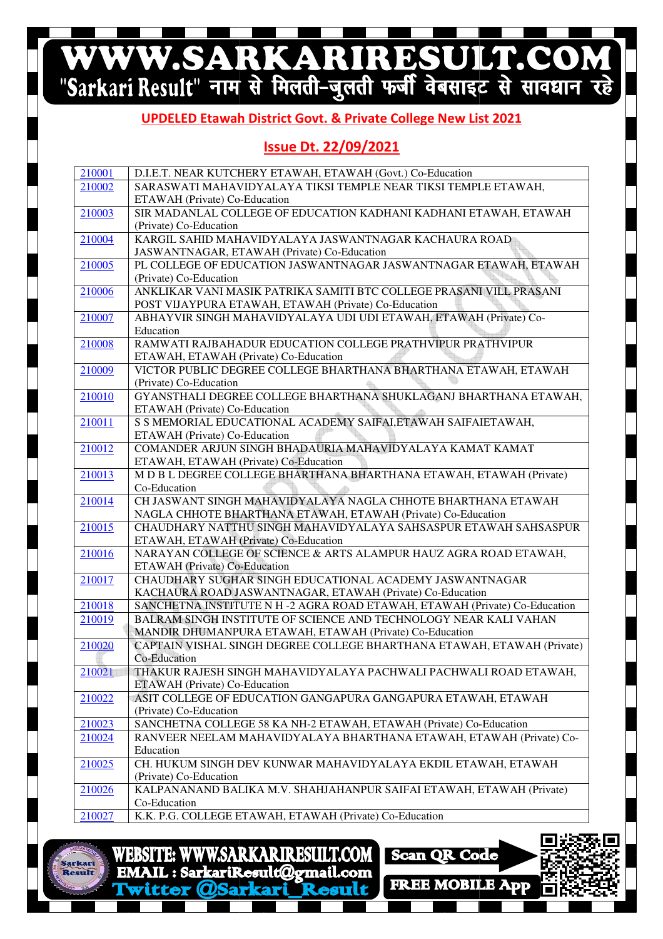## WWW.SARKARIRESULT.COM

#### **UPDELED Etawah Etawah District Govt. & Private College New List 2021**

#### **Issue Dt. 22/09/2021**

| 210001 | D.I.E.T. NEAR KUTCHERY ETAWAH, ETAWAH (Govt.) Co-Education                                                                              |
|--------|-----------------------------------------------------------------------------------------------------------------------------------------|
| 210002 | SARASWATI MAHAVIDYALAYA TIKSI TEMPLE NEAR TIKSI TEMPLE ETAWAH,                                                                          |
|        | ETAWAH (Private) Co-Education                                                                                                           |
| 210003 | SIR MADANLAL COLLEGE OF EDUCATION KADHANI KADHANI ETAWAH, ETAWAH                                                                        |
|        | (Private) Co-Education                                                                                                                  |
| 210004 | KARGIL SAHID MAHAVIDYALAYA JASWANTNAGAR KACHAURA ROAD                                                                                   |
|        | JASWANTNAGAR, ETAWAH (Private) Co-Education                                                                                             |
| 210005 | PL COLLEGE OF EDUCATION JASWANTNAGAR JASWANTNAGAR ETAWAH, ETAWAH                                                                        |
|        | (Private) Co-Education                                                                                                                  |
| 210006 | ANKLIKAR VANI MASIK PATRIKA SAMITI BTC COLLEGE PRASANI VILL PRASANI                                                                     |
|        | POST VIJAYPURA ETAWAH, ETAWAH (Private) Co-Education                                                                                    |
| 210007 | ABHAYVIR SINGH MAHAVIDYALAYA UDI UDI ETAWAH, ETAWAH (Private) Co-                                                                       |
|        | Education                                                                                                                               |
| 210008 | RAMWATI RAJBAHADUR EDUCATION COLLEGE PRATHVIPUR PRATHVIPUR                                                                              |
|        | ETAWAH, ETAWAH (Private) Co-Education                                                                                                   |
| 210009 | VICTOR PUBLIC DEGREE COLLEGE BHARTHANA BHARTHANA ETAWAH, ETAWAH                                                                         |
|        | (Private) Co-Education                                                                                                                  |
| 210010 | GYANSTHALI DEGREE COLLEGE BHARTHANA SHUKLAGANJ BHARTHANA ETAWAH,                                                                        |
|        | ETAWAH (Private) Co-Education                                                                                                           |
| 210011 | S S MEMORIAL EDUCATIONAL ACADEMY SAIFAI, ETAWAH SAIFAIETAWAH,                                                                           |
|        | ETAWAH (Private) Co-Education                                                                                                           |
| 210012 | COMANDER ARJUN SINGH BHADAURIA MAHAVIDYALAYA KAMAT KAMAT                                                                                |
|        | ETAWAH, ETAWAH (Private) Co-Education                                                                                                   |
| 210013 | M D B L DEGREE COLLEGE BHARTHANA BHARTHANA ETAWAH, ETAWAH (Private)                                                                     |
|        | Co-Education                                                                                                                            |
| 210014 | CH JASWANT SINGH MAHAVIDYALAYA NAGLA CHHOTE BHARTHANA ETAWAH                                                                            |
|        | NAGLA CHHOTE BHARTHANA ETAWAH, ETAWAH (Private) Co-Education                                                                            |
| 210015 | CHAUDHARY NATTHU SINGH MAHAVIDYALAYA SAHSASPUR ETAWAH SAHSASPUR                                                                         |
|        | ETAWAH, ETAWAH (Private) Co-Education                                                                                                   |
| 210016 | NARAYAN COLLEGE OF SCIENCE & ARTS ALAMPUR HAUZ AGRA ROAD ETAWAH,                                                                        |
|        | ETAWAH (Private) Co-Education<br>CHAUDHARY SUGHAR SINGH EDUCATIONAL ACADEMY JASWANTNAGAR                                                |
| 210017 |                                                                                                                                         |
| 210018 | KACHAURA ROAD JASWANTNAGAR, ETAWAH (Private) Co-Education<br>SANCHETNA INSTITUTE N H -2 AGRA ROAD ETAWAH, ETAWAH (Private) Co-Education |
| 210019 | BALRAM SINGH INSTITUTE OF SCIENCE AND TECHNOLOGY NEAR KALI VAHAN                                                                        |
|        | MANDIR DHUMANPURA ETAWAH, ETAWAH (Private) Co-Education                                                                                 |
| 210020 | CAPTAIN VISHAL SINGH DEGREE COLLEGE BHARTHANA ETAWAH, ETAWAH (Private)                                                                  |
|        | Co-Education                                                                                                                            |
| 210021 | THAKUR RAJESH SINGH MAHAVIDYALAYA PACHWALI PACHWALI ROAD ETAWAH,                                                                        |
|        | ETAWAH (Private) Co-Education                                                                                                           |
| 210022 | ASIT COLLEGE OF EDUCATION GANGAPURA GANGAPURA ETAWAH, ETAWAH                                                                            |
|        | (Private) Co-Education                                                                                                                  |
| 210023 | SANCHETNA COLLEGE 58 KA NH-2 ETAWAH, ETAWAH (Private) Co-Education                                                                      |
| 210024 | RANVEER NEELAM MAHAVIDYALAYA BHARTHANA ETAWAH, ETAWAH (Private) Co-                                                                     |
|        | Education                                                                                                                               |
| 210025 | CH. HUKUM SINGH DEV KUNWAR MAHAVIDYALAYA EKDIL ETAWAH, ETAWAH                                                                           |
|        | (Private) Co-Education                                                                                                                  |
| 210026 | KALPANANAND BALIKA M.V. SHAHJAHANPUR SAIFAI ETAWAH, ETAWAH (Private)                                                                    |
|        | Co-Education                                                                                                                            |
| 210027 | K.K. P.G. COLLEGE ETAWAH, ETAWAH (Private) Co-Education                                                                                 |
|        |                                                                                                                                         |